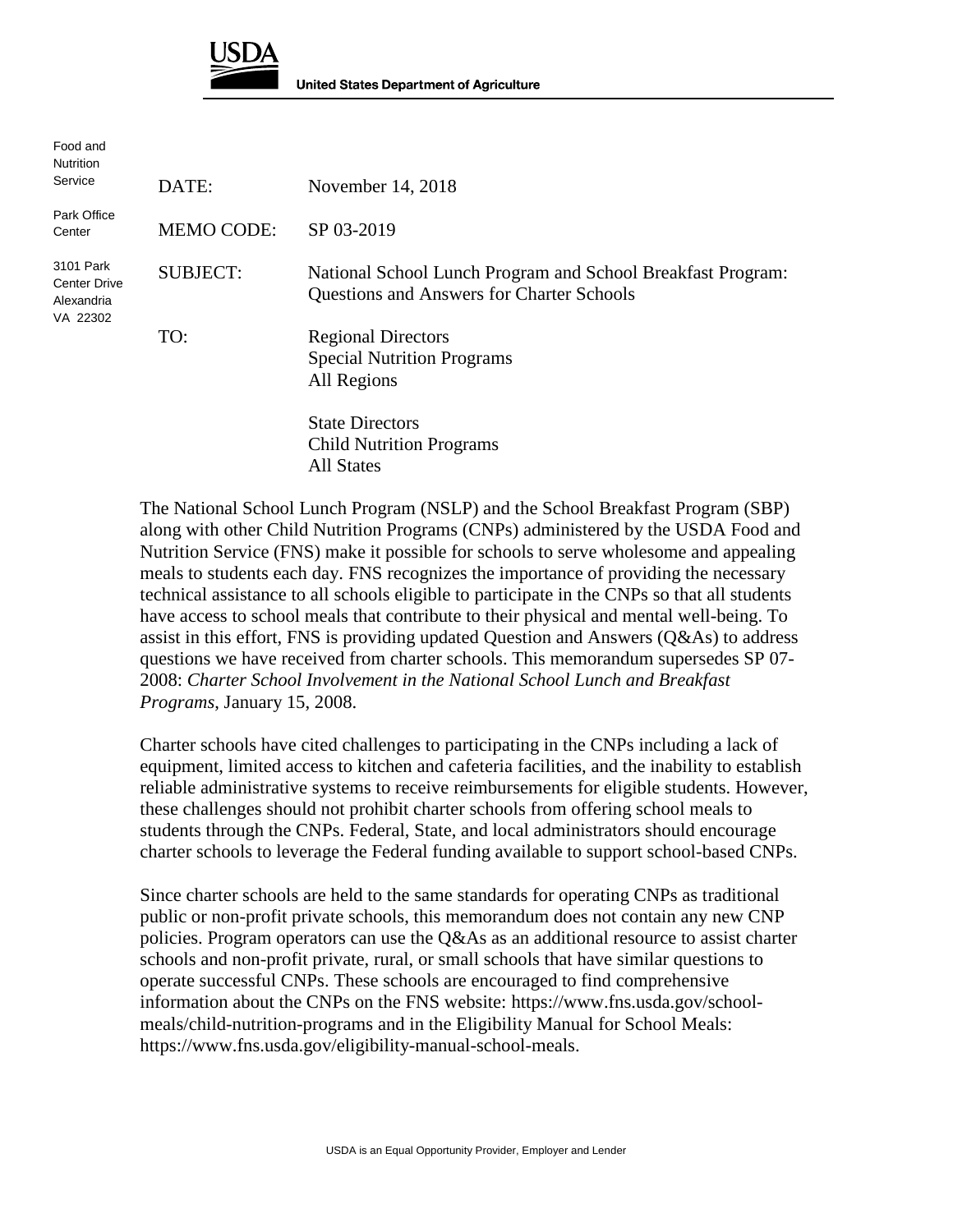

| Food and<br>Nutrition                               |                   |                                                                                                                 |
|-----------------------------------------------------|-------------------|-----------------------------------------------------------------------------------------------------------------|
| Service                                             | DATE:             | November 14, 2018                                                                                               |
| Park Office<br>Center                               | <b>MEMO CODE:</b> | SP 03-2019                                                                                                      |
| 3101 Park<br>Center Drive<br>Alexandria<br>VA 22302 | <b>SUBJECT:</b>   | National School Lunch Program and School Breakfast Program:<br><b>Questions and Answers for Charter Schools</b> |
|                                                     | TO:               | <b>Regional Directors</b><br><b>Special Nutrition Programs</b><br>All Regions                                   |
|                                                     |                   | <b>State Directors</b><br><b>Child Nutrition Programs</b>                                                       |

All States

The National School Lunch Program (NSLP) and the School Breakfast Program (SBP) along with other Child Nutrition Programs (CNPs) administered by the USDA Food and Nutrition Service (FNS) make it possible for schools to serve wholesome and appealing meals to students each day. FNS recognizes the importance of providing the necessary technical assistance to all schools eligible to participate in the CNPs so that all students have access to school meals that contribute to their physical and mental well-being. To assist in this effort, FNS is providing updated Question and Answers (Q&As) to address questions we have received from charter schools. This memorandum supersedes SP 07- 2008: *Charter School Involvement in the National School Lunch and Breakfast Programs*, January 15, 2008.

Charter schools have cited challenges to participating in the CNPs including a lack of equipment, limited access to kitchen and cafeteria facilities, and the inability to establish reliable administrative systems to receive reimbursements for eligible students. However, these challenges should not prohibit charter schools from offering school meals to students through the CNPs. Federal, State, and local administrators should encourage charter schools to leverage the Federal funding available to support school-based CNPs.

Since charter schools are held to the same standards for operating CNPs as traditional public or non-profit private schools, this memorandum does not contain any new CNP policies. Program operators can use the  $Q\&\text{As}$  as an additional resource to assist charter schools and non-profit private, rural, or small schools that have similar questions to operate successful CNPs. These schools are encouraged to find comprehensive information about the CNPs on the FNS website: [https://www.fns.usda.gov/school](https://www.fns.usda.gov/school-meals/child-nutrition-programs)[meals/child-nutrition-programs](https://www.fns.usda.gov/school-meals/child-nutrition-programs) and in the Eligibility Manual for School Meals: https://www.fns.usda.gov/eligibility-manual-school-meals.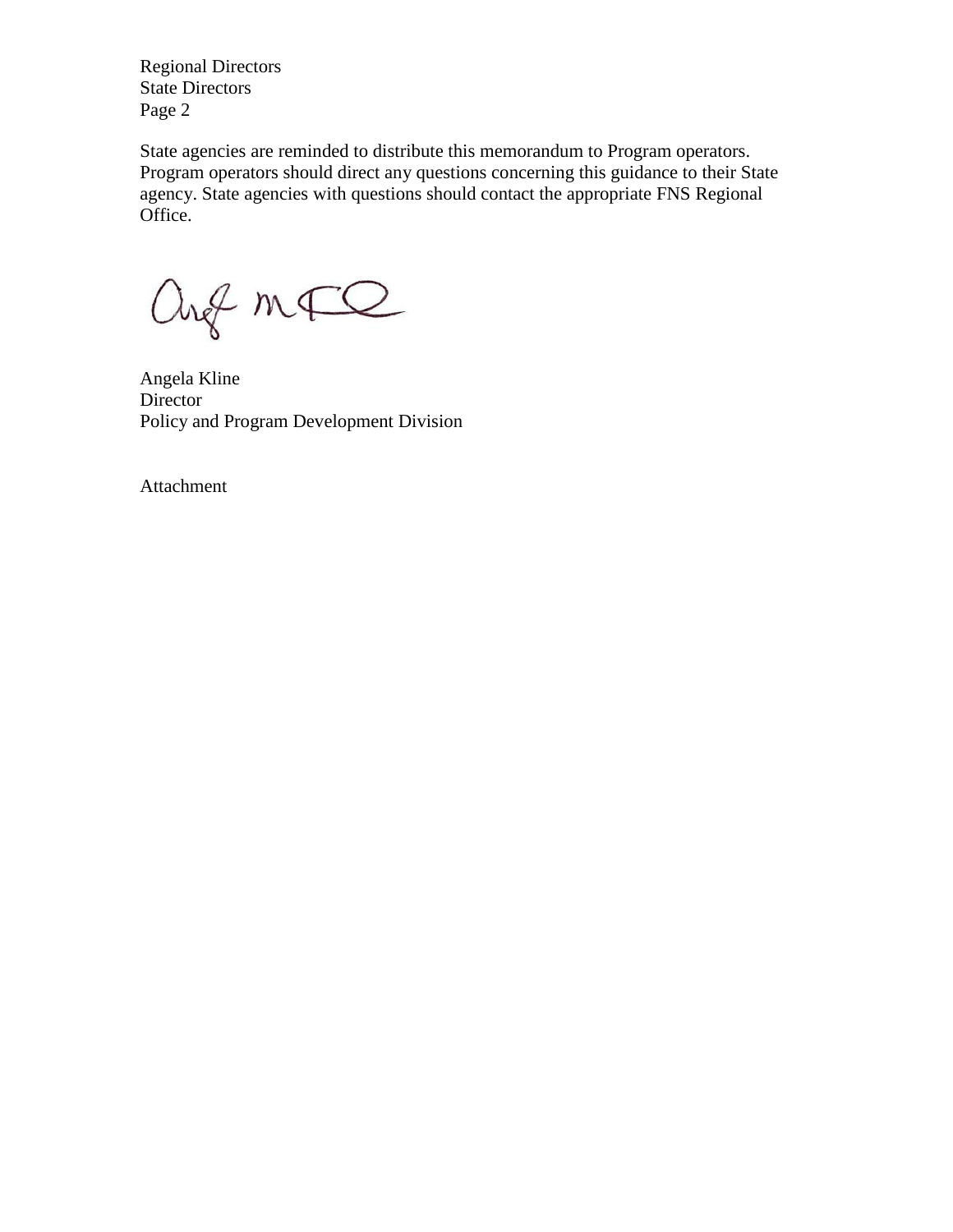Regional Directors State Directors Page 2

State agencies are reminded to distribute this memorandum to Program operators. Program operators should direct any questions concerning this guidance to their State agency. State agencies with questions should contact the appropriate FNS Regional Office.

ang mFQ

Angela Kline Director Policy and Program Development Division

Attachment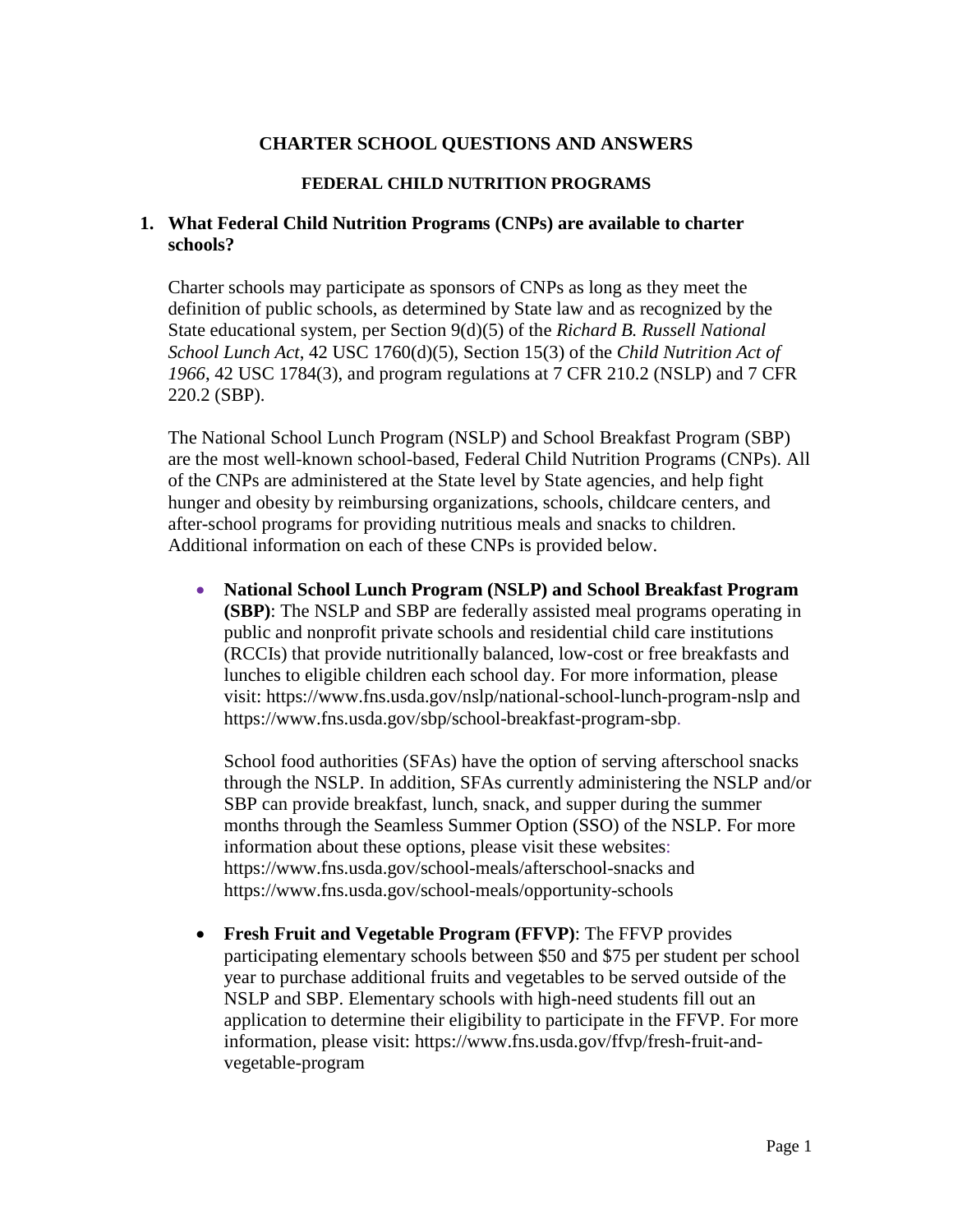### **CHARTER SCHOOL QUESTIONS AND ANSWERS**

#### **FEDERAL CHILD NUTRITION PROGRAMS**

### **1. What Federal Child Nutrition Programs (CNPs) are available to charter schools?**

Charter schools may participate as sponsors of CNPs as long as they meet the definition of public schools, as determined by State law and as recognized by the State educational system, per Section 9(d)(5) of the *Richard B. Russell National School Lunch Act*, 42 USC 1760(d)(5), Section 15(3) of the *Child Nutrition Act of 1966*, 42 USC 1784(3), and program regulations at 7 CFR 210.2 (NSLP) and 7 CFR 220.2 (SBP).

The National School Lunch Program (NSLP) and School Breakfast Program (SBP) are the most well-known school-based, Federal Child Nutrition Programs (CNPs). All of the CNPs are administered at the State level by State agencies, and help fight hunger and obesity by reimbursing organizations, schools, childcare centers, and after-school programs for providing nutritious meals and snacks to children. Additional information on each of these CNPs is provided below.

• **National School Lunch Program (NSLP) and School Breakfast Program (SBP)**: The NSLP and SBP are federally assisted meal programs operating in public and nonprofit private schools and residential child care institutions (RCCIs) that provide nutritionally balanced, low-cost or free breakfasts and lunches to eligible children each school day. For more information, please visit: <https://www.fns.usda.gov/nslp/national-school-lunch-program-nslp> and [https://www.fns.usda.gov/sbp/school-breakfast-program-sbp.](https://www.fns.usda.gov/sbp/school-breakfast-program-sbp)

School food authorities (SFAs) have the option of serving afterschool snacks through the NSLP. In addition, SFAs currently administering the NSLP and/or SBP can provide breakfast, lunch, snack, and supper during the summer months through the Seamless Summer Option (SSO) of the NSLP. For more information about these options, please visit these websites: <https://www.fns.usda.gov/school-meals/afterschool-snacks> and <https://www.fns.usda.gov/school-meals/opportunity-schools>

• **Fresh Fruit and Vegetable Program (FFVP)**: The FFVP provides participating elementary schools between \$50 and \$75 per student per school year to purchase additional fruits and vegetables to be served outside of the NSLP and SBP. Elementary schools with high-need students fill out an application to determine their eligibility to participate in the FFVP. For more information, please visit: [https://www.fns.usda.gov/ffvp/fresh-fruit-and](https://www.fns.usda.gov/ffvp/fresh-fruit-and-vegetable-program)[vegetable-program](https://www.fns.usda.gov/ffvp/fresh-fruit-and-vegetable-program)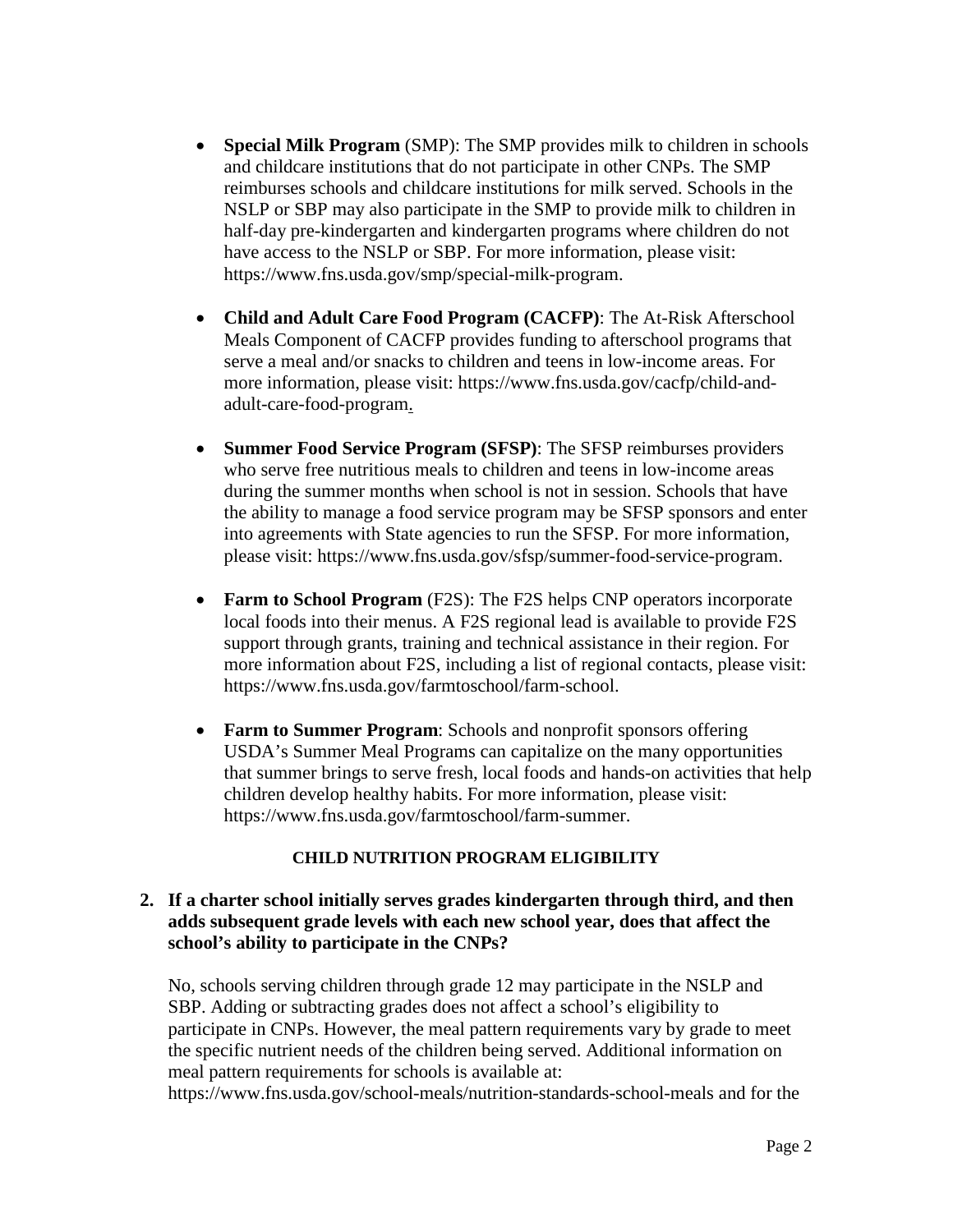- **Special Milk Program** (SMP): The SMP provides milk to children in schools and childcare institutions that do not participate in other CNPs. The SMP reimburses schools and childcare institutions for milk served. Schools in the NSLP or SBP may also participate in the SMP to provide milk to children in half-day pre-kindergarten and kindergarten programs where children do not have access to the NSLP or SBP. For more information, please visit: [https://www.fns.usda.gov/smp/special-milk-program.](https://www.fns.usda.gov/smp/special-milk-program)
- **Child and Adult Care Food Program (CACFP)**: The At-Risk Afterschool Meals Component of CACFP provides funding to afterschool programs that serve a meal and/or snacks to children and teens in low-income areas. For more information, please visit: [https://www.fns.usda.gov/cacfp/child-and](https://www.fns.usda.gov/cacfp/child-and-adult-care-food-program)[adult-care-food-program.](https://www.fns.usda.gov/cacfp/child-and-adult-care-food-program)
- **Summer Food Service Program (SFSP)**: The SFSP reimburses providers who serve free nutritious meals to children and teens in low-income areas during the summer months when school is not in session. Schools that have the ability to manage a food service program may be SFSP sponsors and enter into agreements with State agencies to run the SFSP. For more information, please visit: [https://www.fns.usda.gov/sfsp/summer-food-service-program.](https://www.fns.usda.gov/sfsp/summer-food-service-program)
- **Farm to School Program** (F2S): The F2S helps CNP operators incorporate local foods into their menus. A F2S regional lead is available to provide F2S support through grants, training and technical assistance in their region. For more information about F2S, including a list of regional contacts, please visit: [https://www.fns.usda.gov/farmtoschool/farm-school.](https://www.fns.usda.gov/farmtoschool/farm-school)
- **Farm to Summer Program**: Schools and nonprofit sponsors offering USDA's Summer Meal Programs can capitalize on the many opportunities that summer brings to serve fresh, local foods and hands-on activities that help children develop healthy habits. For more information, please visit: [https://www.fns.usda.gov/farmtoschool/farm-summer.](https://www.fns.usda.gov/farmtoschool/farm-summer)

## **CHILD NUTRITION PROGRAM ELIGIBILITY**

### **2. If a charter school initially serves grades kindergarten through third, and then adds subsequent grade levels with each new school year, does that affect the school's ability to participate in the CNPs?**

No, schools serving children through grade 12 may participate in the NSLP and SBP. Adding or subtracting grades does not affect a school's eligibility to participate in CNPs. However, the meal pattern requirements vary by grade to meet the specific nutrient needs of the children being served. Additional information on meal pattern requirements for schools is available at:

<https://www.fns.usda.gov/school-meals/nutrition-standards-school-meals> and for the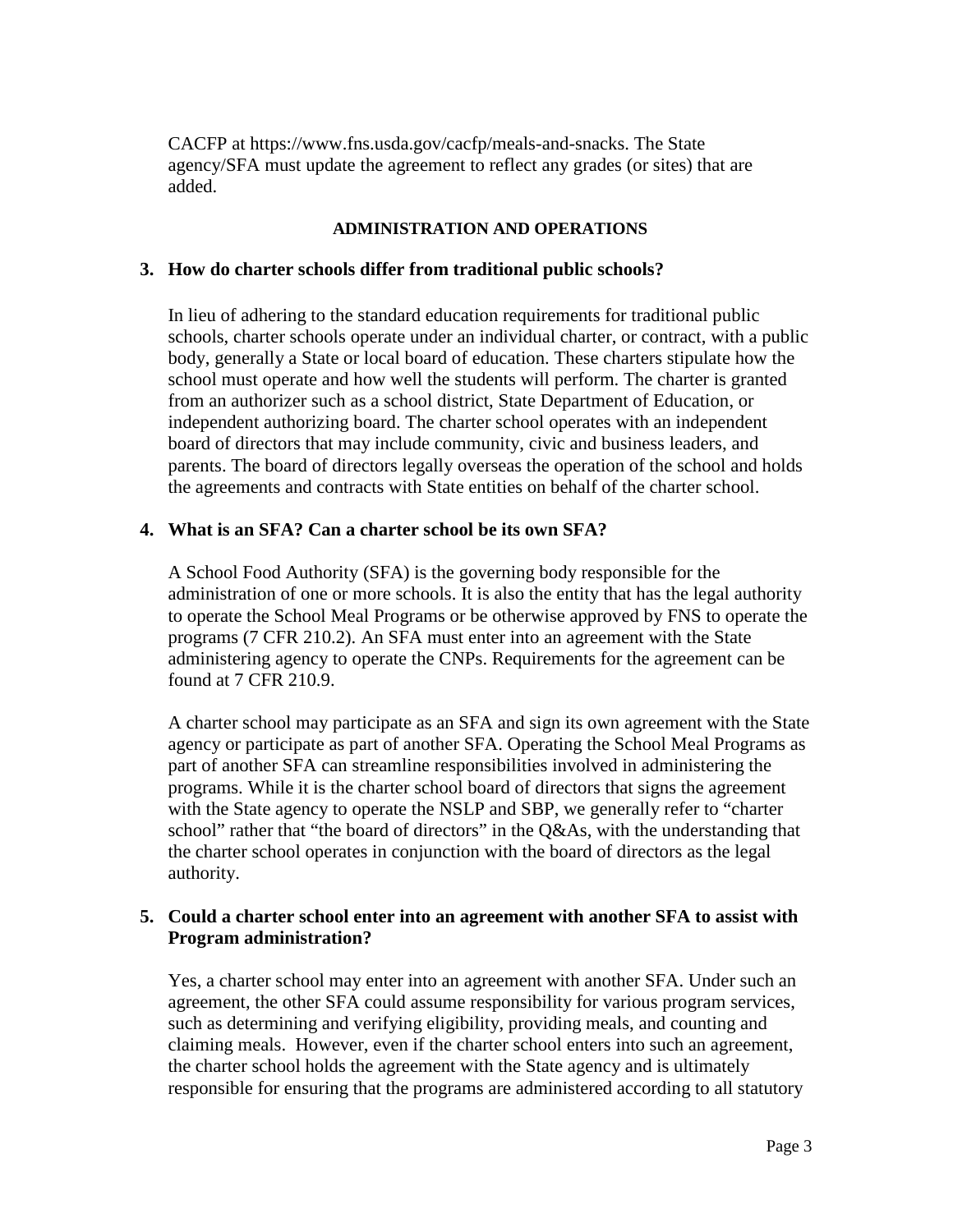CACFP at [https://www.fns.usda.gov/cacfp/meals-and-snacks.](https://www.fns.usda.gov/cacfp/meals-and-snacks) The State agency/SFA must update the agreement to reflect any grades (or sites) that are added.

#### **ADMINISTRATION AND OPERATIONS**

#### **3. How do charter schools differ from traditional public schools?**

In lieu of adhering to the standard education requirements for traditional public schools, charter schools operate under an individual charter, or contract, with a public body, generally a State or local board of education. These charters stipulate how the school must operate and how well the students will perform. The charter is granted from an authorizer such as a school district, State Department of Education, or independent authorizing board. The charter school operates with an independent board of directors that may include community, civic and business leaders, and parents. The board of directors legally overseas the operation of the school and holds the agreements and contracts with State entities on behalf of the charter school.

#### **4. What is an SFA? Can a charter school be its own SFA?**

A School Food Authority (SFA) is the governing body responsible for the administration of one or more schools. It is also the entity that has the legal authority to operate the School Meal Programs or be otherwise approved by FNS to operate the programs (7 CFR 210.2). An SFA must enter into an agreement with the State administering agency to operate the CNPs. Requirements for the agreement can be found at 7 CFR 210.9.

A charter school may participate as an SFA and sign its own agreement with the State agency or participate as part of another SFA. Operating the School Meal Programs as part of another SFA can streamline responsibilities involved in administering the programs. While it is the charter school board of directors that signs the agreement with the State agency to operate the NSLP and SBP, we generally refer to "charter school" rather that "the board of directors" in the Q&As, with the understanding that the charter school operates in conjunction with the board of directors as the legal authority.

#### **5. Could a charter school enter into an agreement with another SFA to assist with Program administration?**

Yes, a charter school may enter into an agreement with another SFA. Under such an agreement, the other SFA could assume responsibility for various program services, such as determining and verifying eligibility, providing meals, and counting and claiming meals. However, even if the charter school enters into such an agreement, the charter school holds the agreement with the State agency and is ultimately responsible for ensuring that the programs are administered according to all statutory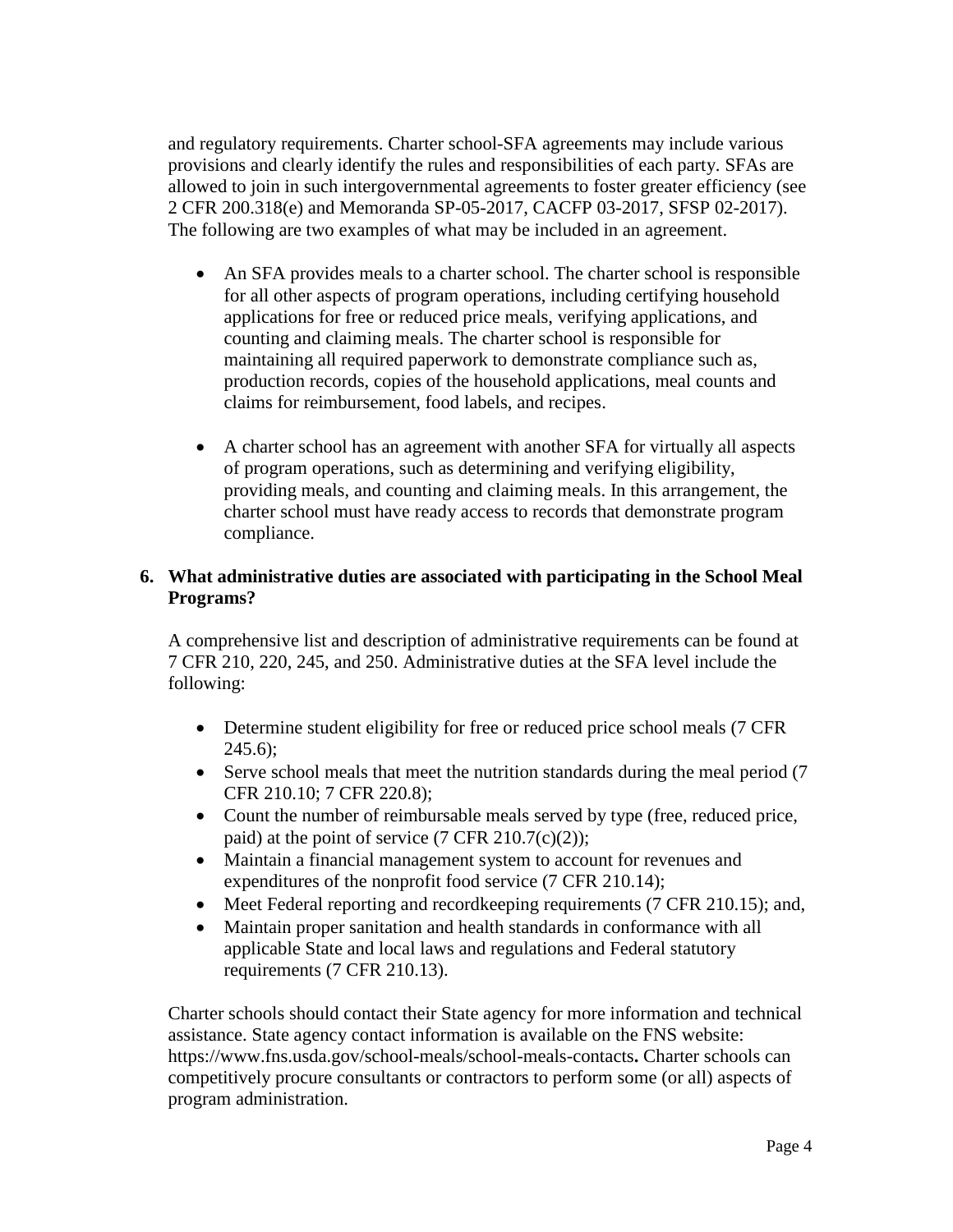and regulatory requirements. Charter school-SFA agreements may include various provisions and clearly identify the rules and responsibilities of each party. SFAs are allowed to join in such intergovernmental agreements to foster greater efficiency (see [2 CFR 200.318\(e\)](https://www.ecfr.gov/cgi-bin/text-idx?SID=0ccb175d6312ee84282a112c9caa0594&mc=true&node=se2.1.200_1318&rgn=div8) and [Memoranda SP-05-2017, CACFP 03-2017, SFSP 02-2017\).](https://www.fns.usda.gov/qa-purchasing-goods-and-services-using-cooperative-agreements-agents-and-third-party-services) The following are two examples of what may be included in an agreement.

- An SFA provides meals to a charter school. The charter school is responsible for all other aspects of program operations, including certifying household applications for free or reduced price meals, verifying applications, and counting and claiming meals. The charter school is responsible for maintaining all required paperwork to demonstrate compliance such as, production records, copies of the household applications, meal counts and claims for reimbursement, food labels, and recipes.
- A charter school has an agreement with another SFA for virtually all aspects of program operations, such as determining and verifying eligibility, providing meals, and counting and claiming meals. In this arrangement, the charter school must have ready access to records that demonstrate program compliance.

# **6. What administrative duties are associated with participating in the School Meal Programs?**

A comprehensive list and description of administrative requirements can be found at 7 CFR 210, 220, 245, and 250. Administrative duties at the SFA level include the following:

- Determine student eligibility for free or reduced price school meals (7 CFR)  $245.6$ :
- Serve school meals that meet the nutrition standards during the meal period (7) CFR 210.10; 7 CFR 220.8);
- Count the number of reimbursable meals served by type (free, reduced price, paid) at the point of service  $(7 \text{ CFR } 210.7(c)(2));$
- Maintain a financial management system to account for revenues and expenditures of the nonprofit food service (7 CFR 210.14);
- Meet Federal reporting and recordkeeping requirements (7 CFR 210.15); and,
- Maintain proper sanitation and health standards in conformance with all applicable State and local laws and regulations and Federal statutory requirements (7 CFR 210.13).

Charter schools should contact their State agency for more information and technical assistance. State agency contact information is available on the FNS website: <https://www.fns.usda.gov/school-meals/school-meals-contacts>**.** Charter schools can competitively procure consultants or contractors to perform some (or all) aspects of program administration.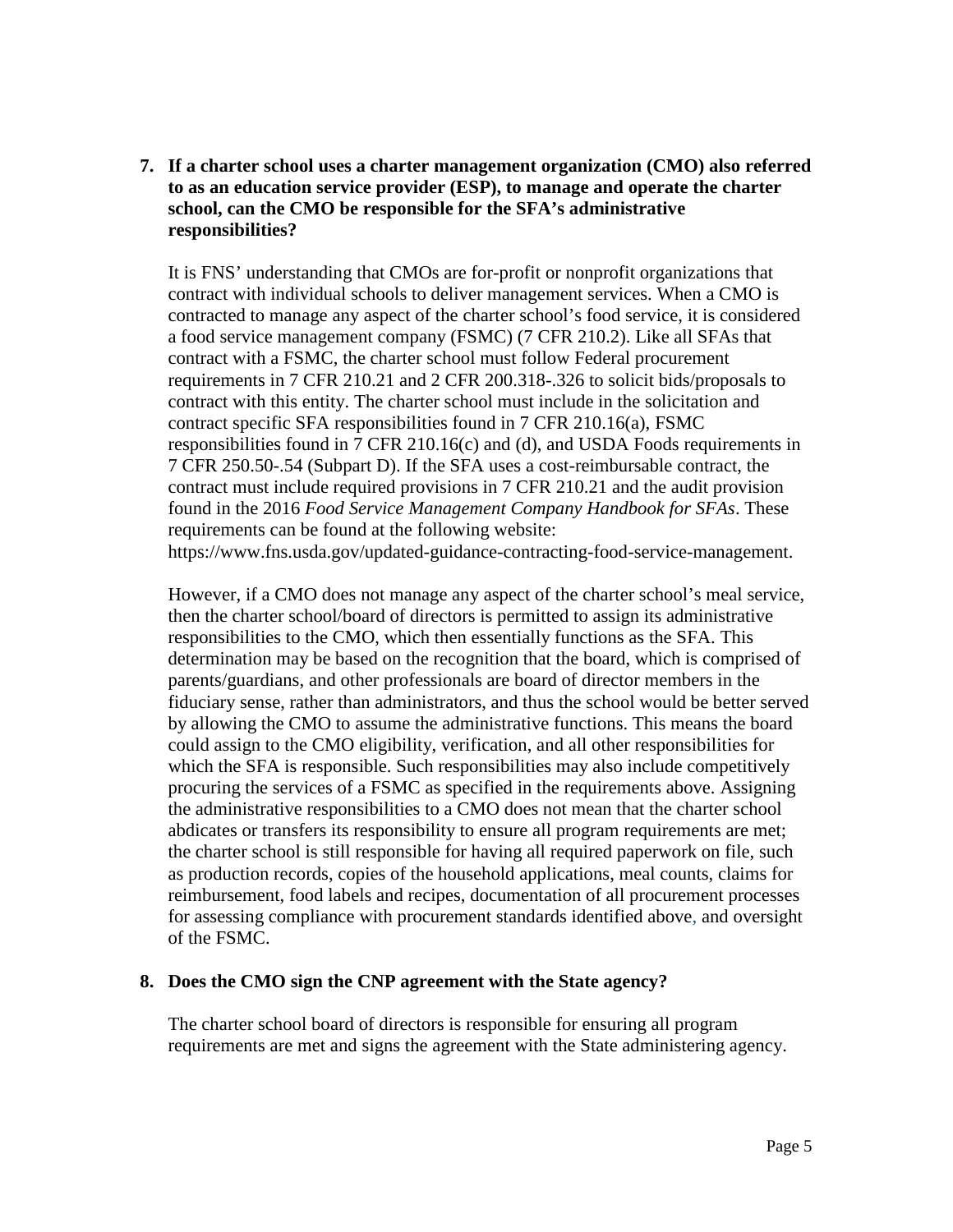**7. If a charter school uses a charter management organization (CMO) also referred to as an education service provider (ESP), to manage and operate the charter school, can the CMO be responsible for the SFA's administrative responsibilities?**

It is FNS' understanding that CMOs are for-profit or nonprofit organizations that contract with individual schools to deliver management services. When a CMO is contracted to manage any aspect of the charter school's food service, it is considered a food service management company (FSMC) (7 CFR 210.2). Like all SFAs that contract with a FSMC, the charter school must follow Federal procurement requirements in 7 CFR 210.21 and 2 CFR 200.318-.326 to solicit bids/proposals to contract with this entity. The charter school must include in the solicitation and contract specific SFA responsibilities found in 7 CFR 210.16(a), FSMC responsibilities found in 7 CFR 210.16(c) and (d), and USDA Foods requirements in 7 CFR 250.50-.54 (Subpart D). If the SFA uses a cost-reimbursable contract, the contract must include required provisions in 7 CFR 210.21 and the audit provision found in the 2016 *Food Service Management Company Handbook for SFAs*. These requirements can be found at the following website: [https://www.fns.usda.gov/updated-guidance-contracting-food-service-management.](https://www.fns.usda.gov/updated-guidance-contracting-food-service-management)

However, if a CMO does not manage any aspect of the charter school's meal service, then the charter school/board of directors is permitted to assign its administrative responsibilities to the CMO, which then essentially functions as the SFA. This determination may be based on the recognition that the board, which is comprised of parents/guardians, and other professionals are board of director members in the fiduciary sense, rather than administrators, and thus the school would be better served by allowing the CMO to assume the administrative functions. This means the board could assign to the CMO eligibility, verification, and all other responsibilities for which the SFA is responsible. Such responsibilities may also include competitively procuring the services of a FSMC as specified in the requirements above. Assigning the administrative responsibilities to a CMO does not mean that the charter school abdicates or transfers its responsibility to ensure all program requirements are met; the charter school is still responsible for having all required paperwork on file, such as production records, copies of the household applications, meal counts, claims for reimbursement, food labels and recipes, documentation of all procurement processes for assessing compliance with procurement standards identified above, and oversight of the FSMC.

#### **8. Does the CMO sign the CNP agreement with the State agency?**

The charter school board of directors is responsible for ensuring all program requirements are met and signs the agreement with the State administering agency.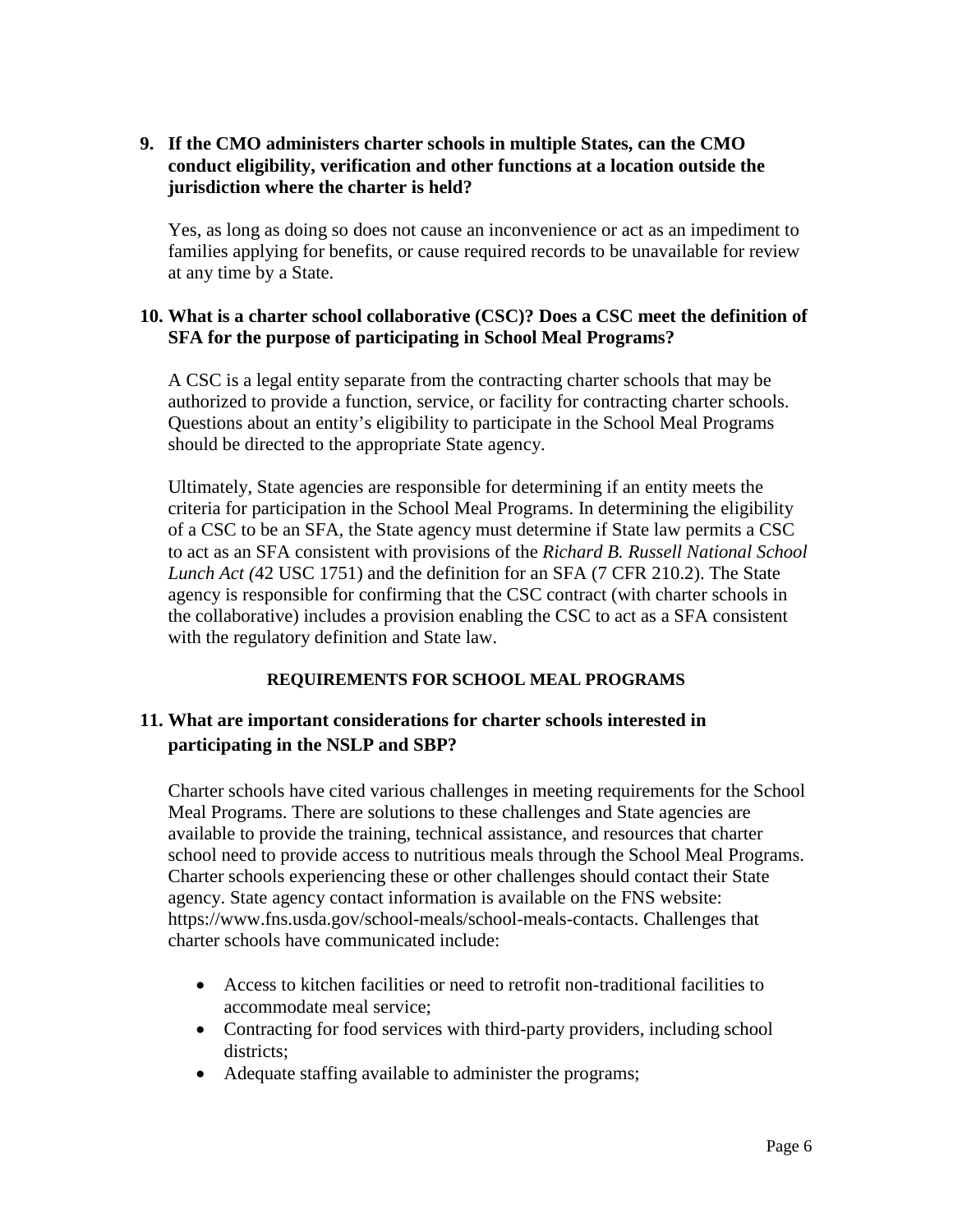## **9. If the CMO administers charter schools in multiple States, can the CMO conduct eligibility, verification and other functions at a location outside the jurisdiction where the charter is held?**

Yes, as long as doing so does not cause an inconvenience or act as an impediment to families applying for benefits, or cause required records to be unavailable for review at any time by a State.

### **10. What is a charter school collaborative (CSC)? Does a CSC meet the definition of SFA for the purpose of participating in School Meal Programs?**

A CSC is a legal entity separate from the contracting charter schools that may be authorized to provide a function, service, or facility for contracting charter schools. Questions about an entity's eligibility to participate in the School Meal Programs should be directed to the appropriate State agency.

Ultimately, State agencies are responsible for determining if an entity meets the criteria for participation in the School Meal Programs. In determining the eligibility of a CSC to be an SFA, the State agency must determine if State law permits a CSC to act as an SFA consistent with provisions of the *Richard B. Russell National School Lunch Act (*42 USC 1751) and the definition for an SFA (7 CFR 210.2). The State agency is responsible for confirming that the CSC contract (with charter schools in the collaborative) includes a provision enabling the CSC to act as a SFA consistent with the regulatory definition and State law.

## **REQUIREMENTS FOR SCHOOL MEAL PROGRAMS**

# **11. What are important considerations for charter schools interested in participating in the NSLP and SBP?**

Charter schools have cited various challenges in meeting requirements for the School Meal Programs. There are solutions to these challenges and State agencies are available to provide the training, technical assistance, and resources that charter school need to provide access to nutritious meals through the School Meal Programs. Charter schools experiencing these or other challenges should contact their State agency. State agency contact information is available on the FNS website: [https://www.fns.usda.gov/school-meals/school-meals-contacts.](https://www.fns.usda.gov/school-meals/school-meals-contacts) Challenges that charter schools have communicated include:

- Access to kitchen facilities or need to retrofit non-traditional facilities to accommodate meal service;
- Contracting for food services with third-party providers, including school districts;
- Adequate staffing available to administer the programs;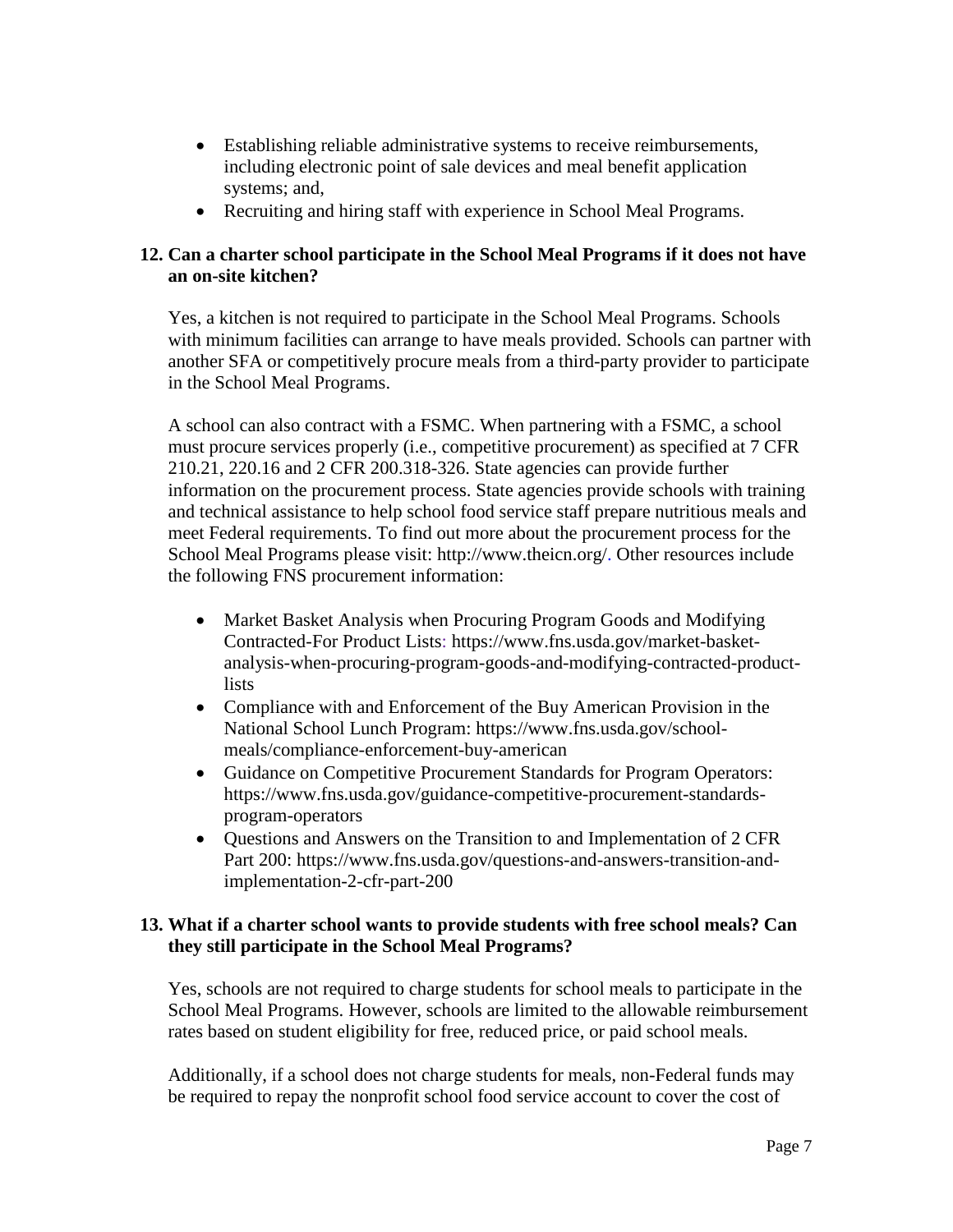- Establishing reliable administrative systems to receive reimbursements, including electronic point of sale devices and meal benefit application systems; and,
- Recruiting and hiring staff with experience in School Meal Programs.

# **12. Can a charter school participate in the School Meal Programs if it does not have an on-site kitchen?**

Yes, a kitchen is not required to participate in the School Meal Programs. Schools with minimum facilities can arrange to have meals provided. Schools can partner with another SFA or competitively procure meals from a third-party provider to participate in the School Meal Programs.

A school can also contract with a FSMC. When partnering with a FSMC, a school must procure services properly (i.e., competitive procurement) as specified at 7 CFR 210.21, 220.16 and 2 CFR 200.318-326. State agencies can provide further information on the procurement process. State agencies provide schools with training and technical assistance to help school food service staff prepare nutritious meals and meet Federal requirements. To find out more about the procurement process for the School Meal Programs please visit: [http://www.theicn.org/.](http://www.theicn.org/) Other resources include the following FNS procurement information:

- Market Basket Analysis when Procuring Program Goods and Modifying Contracted-For Product Lists: [https://www.fns.usda.gov/market-basket](https://www.fns.usda.gov/market-basket-analysis-when-procuring-program-goods-and-modifying-contracted-product-lists)[analysis-when-procuring-program-goods-and-modifying-contracted-product](https://www.fns.usda.gov/market-basket-analysis-when-procuring-program-goods-and-modifying-contracted-product-lists)[lists](https://www.fns.usda.gov/market-basket-analysis-when-procuring-program-goods-and-modifying-contracted-product-lists)
- Compliance with and Enforcement of the Buy American Provision in the National School Lunch Program: [https://www.fns.usda.gov/school](https://www.fns.usda.gov/school-meals/compliance-enforcement-buy-american)[meals/compliance-enforcement-buy-american](https://www.fns.usda.gov/school-meals/compliance-enforcement-buy-american)
- Guidance on Competitive Procurement Standards for Program Operators: [https://www.fns.usda.gov/guidance-competitive-procurement-standards](https://www.fns.usda.gov/guidance-competitive-procurement-standards-program-operators)[program-operators](https://www.fns.usda.gov/guidance-competitive-procurement-standards-program-operators)
- Questions and Answers on the Transition to and Implementation of 2 CFR Part 200: [https://www.fns.usda.gov/questions-and-answers-transition-and](https://www.fns.usda.gov/questions-and-answers-transition-and-implementation-2-cfr-part-200)[implementation-2-cfr-part-200](https://www.fns.usda.gov/questions-and-answers-transition-and-implementation-2-cfr-part-200)

## **13. What if a charter school wants to provide students with free school meals? Can they still participate in the School Meal Programs?**

Yes, schools are not required to charge students for school meals to participate in the School Meal Programs. However, schools are limited to the allowable reimbursement rates based on student eligibility for free, reduced price, or paid school meals.

Additionally, if a school does not charge students for meals, non-Federal funds may be required to repay the nonprofit school food service account to cover the cost of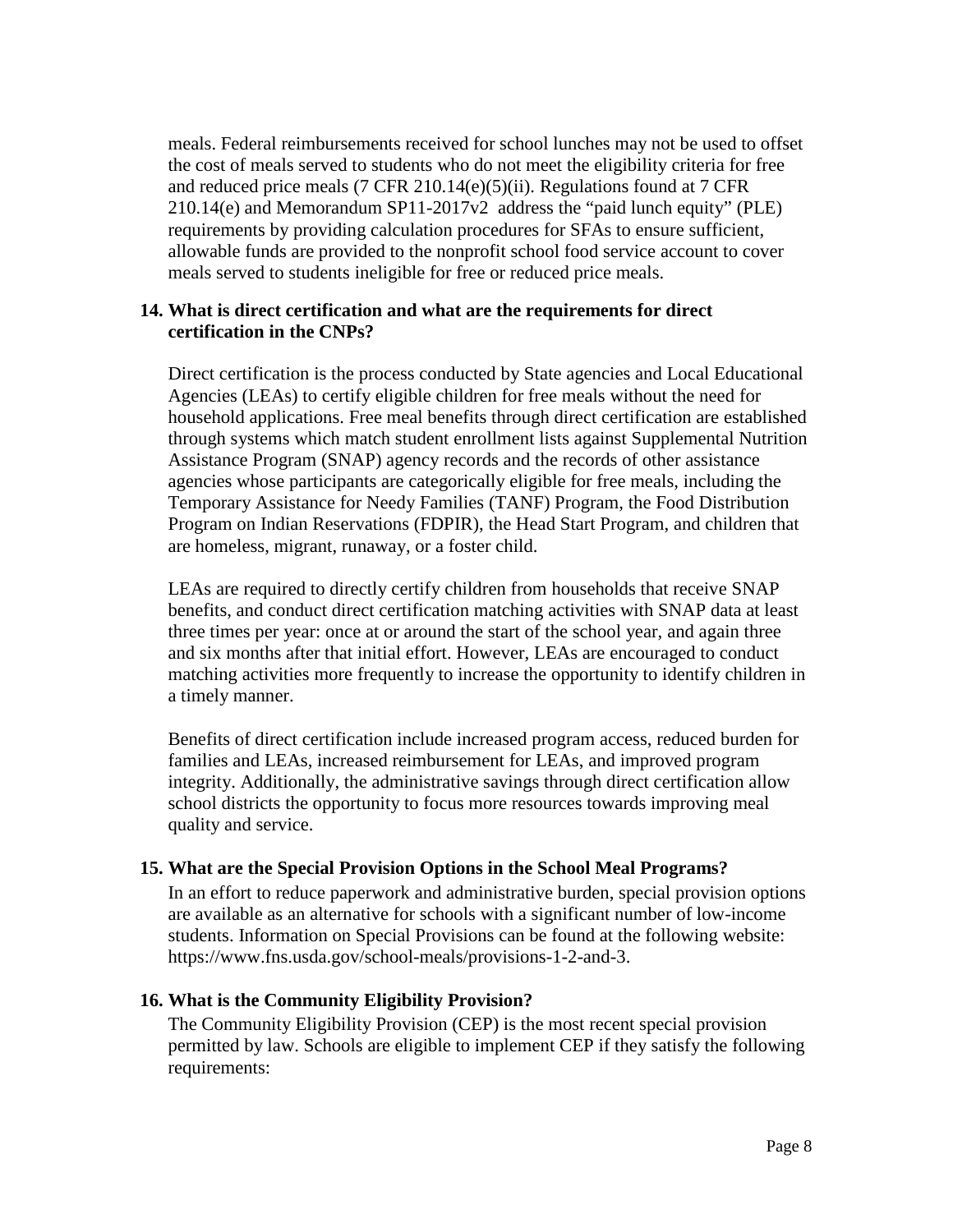meals. Federal reimbursements received for school lunches may not be used to offset the cost of meals served to students who do not meet the eligibility criteria for free and reduced price meals (7 CFR 210.14(e)(5)(ii). Regulations found at [7 CFR](https://www.ecfr.gov/cgi-bin/retrieveECFR?gp=&SID=54ae176d36f25d7f35465e5b4ff64d26&mc=true&n=pt7.4.210&r=PART&ty=HTML#se7.4.210_114)  [210.14\(e\)](https://www.ecfr.gov/cgi-bin/retrieveECFR?gp=&SID=54ae176d36f25d7f35465e5b4ff64d26&mc=true&n=pt7.4.210&r=PART&ty=HTML#se7.4.210_114) and [Memorandum SP11-2017v2](https://www.fns.usda.gov/school-meals/paid-lunch-equity-sy2017-18-calculations-and-revised-tool) address the "paid lunch equity" (PLE) requirements by providing calculation procedures for SFAs to ensure sufficient, allowable funds are provided to the nonprofit school food service account to cover meals served to students ineligible for free or reduced price meals.

#### **14. What is direct certification and what are the requirements for direct certification in the CNPs?**

Direct certification is the process conducted by State agencies and Local Educational Agencies (LEAs) to certify eligible children for free meals without the need for household applications. Free meal benefits through direct certification are established through systems which match student enrollment lists against Supplemental Nutrition Assistance Program (SNAP) agency records and the records of other assistance agencies whose participants are categorically eligible for free meals, including the Temporary Assistance for Needy Families (TANF) Program, the Food Distribution Program on Indian Reservations (FDPIR), the Head Start Program, and children that are homeless, migrant, runaway, or a foster child.

LEAs are required to directly certify children from households that receive SNAP benefits, and conduct direct certification matching activities with SNAP data at least three times per year: once at or around the start of the school year, and again three and six months after that initial effort. However, LEAs are encouraged to conduct matching activities more frequently to increase the opportunity to identify children in a timely manner.

Benefits of direct certification include increased program access, reduced burden for families and LEAs, increased reimbursement for LEAs, and improved program integrity. Additionally, the administrative savings through direct certification allow school districts the opportunity to focus more resources towards improving meal quality and service.

## **15. What are the Special Provision Options in the School Meal Programs?**

In an effort to reduce paperwork and administrative burden, special provision options are available as an alternative for schools with a significant number of low-income students. Information on Special Provisions can be found at the following website: [https://www.fns.usda.gov/school-meals/provisions-1-2-and-3.](https://www.fns.usda.gov/school-meals/provisions-1-2-and-3)

## **16. What is the Community Eligibility Provision?**

The Community Eligibility Provision (CEP) is the most recent special provision permitted by law. Schools are eligible to implement CEP if they satisfy the following requirements: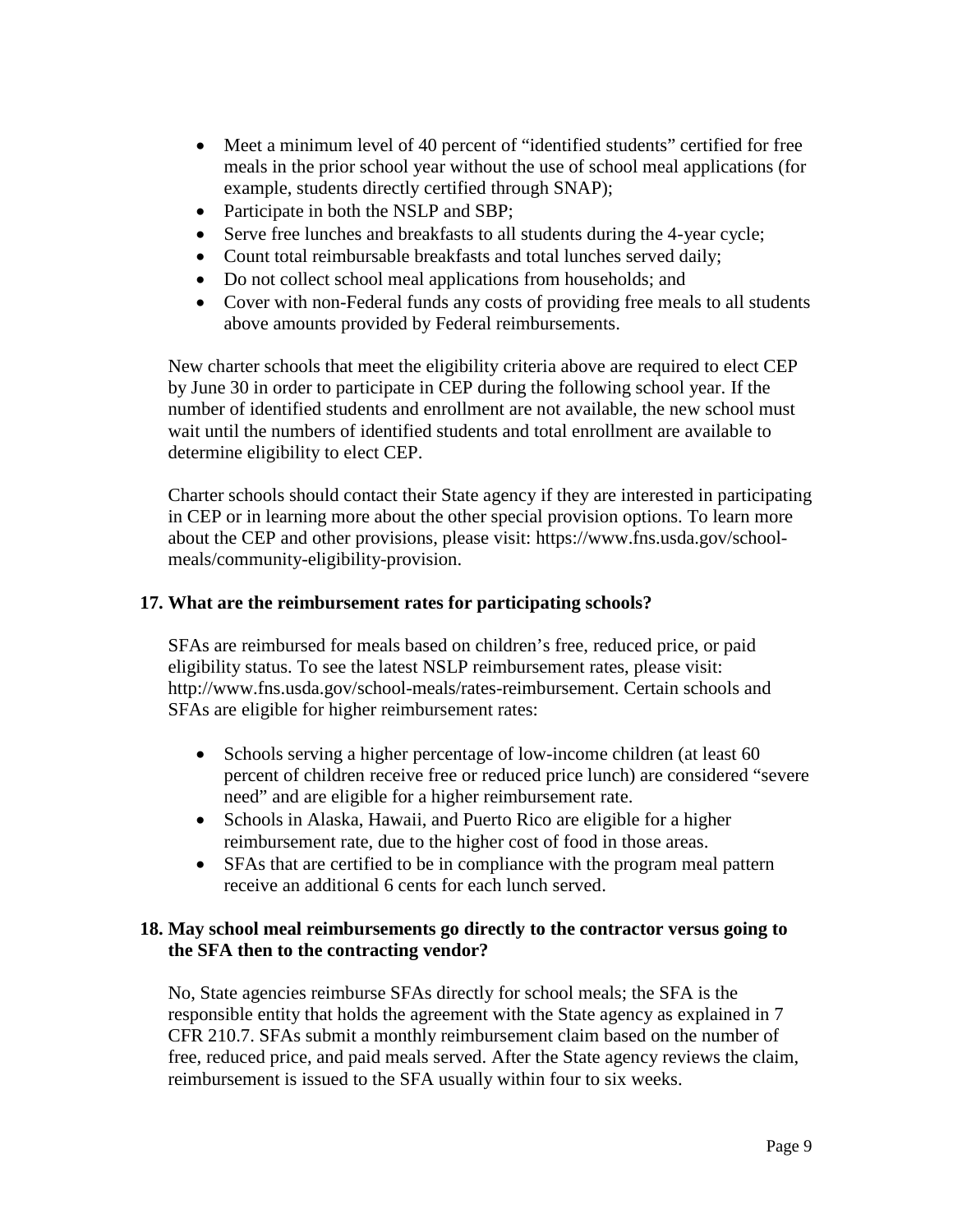- Meet a minimum level of 40 percent of "identified students" certified for free meals in the prior school year without the use of school meal applications (for example, students directly certified through SNAP);
- Participate in both the NSLP and SBP;
- Serve free lunches and breakfasts to all students during the 4-year cycle;
- Count total reimbursable breakfasts and total lunches served daily;
- Do not collect school meal applications from households; and
- Cover with non-Federal funds any costs of providing free meals to all students above amounts provided by Federal reimbursements.

New charter schools that meet the eligibility criteria above are required to elect CEP by June 30 in order to participate in CEP during the following school year. If the number of identified students and enrollment are not available, the new school must wait until the numbers of identified students and total enrollment are available to determine eligibility to elect CEP.

Charter schools should contact their State agency if they are interested in participating in CEP or in learning more about the other special provision options. To learn more about the CEP and other provisions, please visit: [https://www.fns.usda.gov/school](https://www.fns.usda.gov/school-meals/community-eligibility-provision)[meals/community-eligibility-provision.](https://www.fns.usda.gov/school-meals/community-eligibility-provision)

### **17. What are the reimbursement rates for participating schools?**

SFAs are reimbursed for meals based on children's free, reduced price, or paid eligibility status. To see the latest NSLP reimbursement rates, please visit: [http://www.fns.usda.gov/school-meals/rates-reimbursement.](http://www.fns.usda.gov/school-meals/rates-reimbursement) Certain schools and SFAs are eligible for higher reimbursement rates:

- Schools serving a higher percentage of low-income children (at least 60) percent of children receive free or reduced price lunch) are considered "severe need" and are eligible for a higher reimbursement rate.
- Schools in Alaska, Hawaii, and Puerto Rico are eligible for a higher reimbursement rate, due to the higher cost of food in those areas.
- SFAs that are certified to be in compliance with the program meal pattern receive an additional 6 cents for each lunch served.

### **18. May school meal reimbursements go directly to the contractor versus going to the SFA then to the contracting vendor?**

No, State agencies reimburse SFAs directly for school meals; the SFA is the responsible entity that holds the agreement with the State agency as explained in 7 CFR 210.7. SFAs submit a monthly reimbursement claim based on the number of free, reduced price, and paid meals served. After the State agency reviews the claim, reimbursement is issued to the SFA usually within four to six weeks.